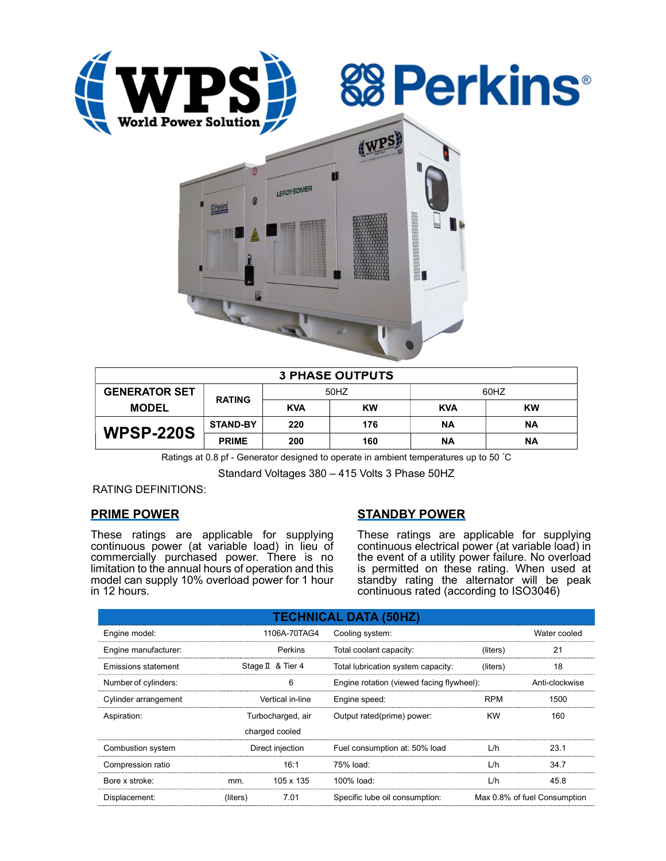





| <b>3 PHASE OUTPUTS</b> |                 |            |           |            |           |  |  |  |
|------------------------|-----------------|------------|-----------|------------|-----------|--|--|--|
| <b>GENERATOR SET</b>   | <b>RATING</b>   | 50HZ       |           | 60HZ       |           |  |  |  |
| <b>MODEL</b>           |                 | <b>KVA</b> | <b>KW</b> | <b>KVA</b> | <b>KW</b> |  |  |  |
| <b>WPSP-220S</b>       | <b>STAND-BY</b> | 220        | 176       | <b>NA</b>  | ΝA        |  |  |  |
|                        | <b>PRIME</b>    | 200        | 160       | ΝA         | ΝA        |  |  |  |

Ratings at 0.8 pf - Generator designed to operate in ambient temperatures up to 50 °C

Standard Voltages 380 – 415 Volts 3 Phase 50HZ

RATING DEFINITIONS:

## PRIME POWER

These ratings are applicable for supplying continuous power (at variable load) in lieu of commercially purchased power. There is no limitation to the annual hours of operation and this model can supply 10% overload power for 1 hour in 12 hours.

# STANDBY POWER

These ratings are applicable for supplying continuous electrical power (at variable load) in the event of a utility power failure. No overload is permitted on these rating. When used at standby rating the alternator will be peak continuous rated (according to ISO3046)

| <b>TECHNICAL DATA (50HZ)</b> |                   |                   |                                           |                              |      |  |  |  |  |  |
|------------------------------|-------------------|-------------------|-------------------------------------------|------------------------------|------|--|--|--|--|--|
| Engine model:                |                   | 1106A-70TAG4      | Cooling system:                           | Water cooled                 |      |  |  |  |  |  |
| Engine manufacturer:         |                   | Perkins           | Total coolant capacity:<br>(liters)       |                              | 21   |  |  |  |  |  |
| Emissions statement          |                   | Stage II & Tier 4 | Total lubrication system capacity:        | (liters)                     | 18   |  |  |  |  |  |
| Number of cylinders:         |                   | 6                 | Engine rotation (viewed facing flywheel): | Anti-clockwise               |      |  |  |  |  |  |
| Cylinder arrangement         |                   | Vertical in-line  | Engine speed:                             | <b>RPM</b>                   | 1500 |  |  |  |  |  |
| Aspiration:                  | Turbocharged, air |                   | Output rated(prime) power:                | <b>KW</b>                    | 160  |  |  |  |  |  |
| charged cooled               |                   |                   |                                           |                              |      |  |  |  |  |  |
| Combustion system            |                   | Direct injection  | Fuel consumption at: 50% load             | L/h                          | 23.1 |  |  |  |  |  |
| Compression ratio            |                   | 16:1              | 75% load:                                 | L/h                          | 34.7 |  |  |  |  |  |
| Bore x stroke:               | mm.               | 105 x 135         | 100% load:                                | L/h                          | 45.8 |  |  |  |  |  |
| Displacement:                | (liters)          | 7.01              | Specific lube oil consumption:            | Max 0.8% of fuel Consumption |      |  |  |  |  |  |